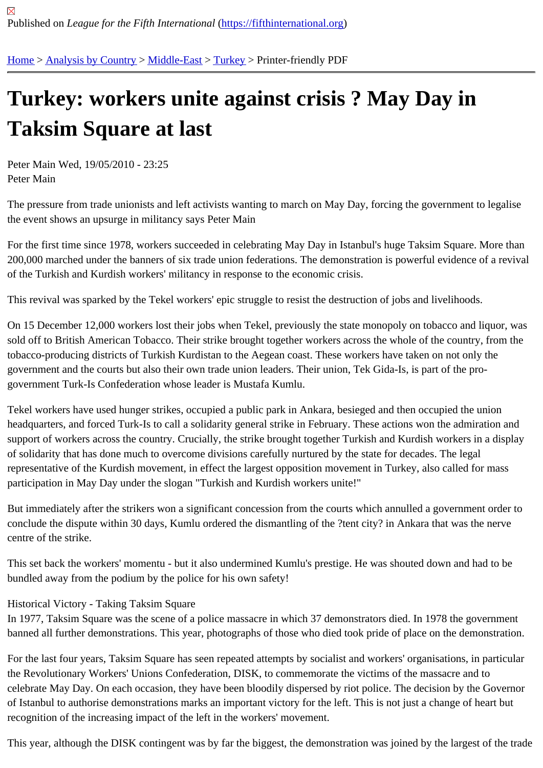## [Tur](https://fifthinternational.org/)[key: worke](https://fifthinternational.org/category/1)[rs unit](https://fifthinternational.org/category/1/178)[e ag](https://fifthinternational.org/category/1/178/174)ainst crisis ? May Day in Taksim Square at last

Peter Main Wed, 19/05/2010 - 23:25 Peter Main

The pressure from trade unionists and left activists wanting to march on May Day, forcing the government to legali the event shows an upsurge in militancy says Peter Main

For the first time since 1978, workers succeeded in celebrating May Day in Istanbul's huge Taksim Square. More t 200,000 marched under the banners of six trade union federations. The demonstration is powerful evidence of a re of the Turkish and Kurdish workers' militancy in response to the economic crisis.

This revival was sparked by the Tekel workers' epic struggle to resist the destruction of jobs and livelihoods.

On 15 December 12,000 workers lost their jobs when Tekel, previously the state monopoly on tobacco and liquor, sold off to British American Tobacco. Their strike brought together workers across the whole of the country, from th tobacco-producing districts of Turkish Kurdistan to the Aegean coast. These workers have taken on not only the government and the courts but also their own trade union leaders. Their union, Tek Gida-Is, is part of the progovernment Turk-Is Confederation whose leader is Mustafa Kumlu.

Tekel workers have used hunger strikes, occupied a public park in Ankara, besieged and then occupied the union headquarters, and forced Turk-Is to call a solidarity general strike in February. These actions won the admiration a support of workers across the country. Crucially, the strike brought together Turkish and Kurdish workers in a disp of solidarity that has done much to overcome divisions carefully nurtured by the state for decades. The legal representative of the Kurdish movement, in effect the largest opposition movement in Turkey, also called for mass participation in May Day under the slogan "Turkish and Kurdish workers unite!"

But immediately after the strikers won a significant concession from the courts which annulled a government order conclude the dispute within 30 days, Kumlu ordered the dismantling of the ?tent city? in Ankara that was the nerve centre of the strike.

This set back the workers' momentu - but it also undermined Kumlu's prestige. He was shouted down and had to b bundled away from the podium by the police for his own safety!

## Historical Victory - Taking Taksim Square

In 1977, Taksim Square was the scene of a police massacre in which 37 demonstrators died. In 1978 the governm banned all further demonstrations. This year, photographs of those who died took pride of place on the demonstra

For the last four years, Taksim Square has seen repeated attempts by socialist and workers' organisations, in part the Revolutionary Workers' Unions Confederation, DISK, to commemorate the victims of the massacre and to celebrate May Day. On each occasion, they have been bloodily dispersed by riot police. The decision by the Gove of Istanbul to authorise demonstrations marks an important victory for the left. This is not just a change of heart bu recognition of the increasing impact of the left in the workers' movement.

This year, although the DISK contingent was by far the biggest, the demonstration was joined by the largest of the